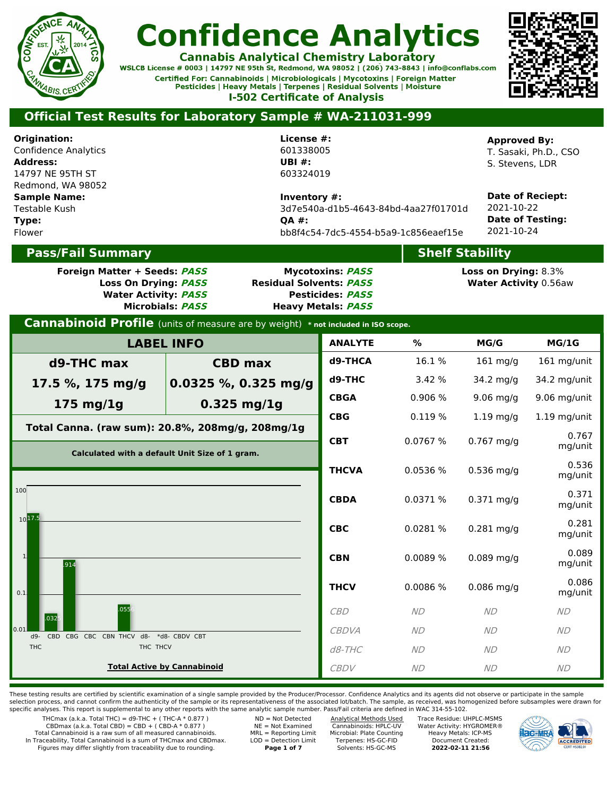

**Cannabis Analytical Chemistry Laboratory** WSLCB License # 0003 | 14797 NE 95th St, Redmond, WA 98052 | (206) 743-8843 | info@conflabs.com Certified For: Cannabinoids | Microbiologicals | Mycotoxins | Foreign Matter

Pesticides | Heavy Metals | Terpenes | Residual Solvents | Moisture **I-502 Certificate of Analysis** 



### **Official Test Results for Laboratory Sample # WA-211031-999**

**Origination:** Confidence Analytics **Address:** 14797 NE 95TH ST Redmond, WA 98052 **Sample Name:** Testable Kush **Type:** Flower

**License #:** 601338005 **UBI #:** 603324019

**Inventory #:** 3d7e540a-d1b5-4643-84bd-4aa27f01701d **QA #:** bb8f4c54-7dc5-4554-b5a9-1c856eaef15e

### **Pass/Fail Summary**

**Foreign Matter + Seeds: PASS Mycotoxins: PASS**

**Loss On Drying: PASS Residual Solvents: PASS Water Activity: PASS Pesticides: PASS Microbials: PASS Heavy Metals: PASS**

#### **Approved By:** T. Sasaki, Ph.D., CSO

S. Stevens, LDR

**Date of Reciept:** 2021-10-22 **Date of Testing:** 2021-10-24

## **Shelf Stability**

**Loss on Drying:** 8.3% **Water Activity** 0.56aw

| <b>Cannabinoid Profile</b> (units of measure are by weight) * not included in ISO scope. |                                                  |                |           |              |                  |  |  |  |
|------------------------------------------------------------------------------------------|--------------------------------------------------|----------------|-----------|--------------|------------------|--|--|--|
|                                                                                          | <b>LABEL INFO</b>                                | <b>ANALYTE</b> | %         | MG/G         | MG/1G            |  |  |  |
| d9-THC max<br><b>CBD max</b>                                                             |                                                  | d9-THCA        | 16.1%     | $161$ mg/g   | 161 mg/unit      |  |  |  |
| 17.5 %, 175 mg/g                                                                         | 0.0325 %, 0.325 mg/g                             | d9-THC         | 3.42 %    | $34.2$ mg/g  | 34.2 mg/unit     |  |  |  |
| $175$ mg/ $1g$                                                                           | $0.325$ mg/1g                                    | <b>CBGA</b>    | 0.906%    | $9.06$ mg/g  | 9.06 mg/unit     |  |  |  |
|                                                                                          | Total Canna. (raw sum): 20.8%, 208mg/g, 208mg/1g | <b>CBG</b>     | 0.119 %   | $1.19$ mg/g  | $1.19$ mg/unit   |  |  |  |
|                                                                                          | Calculated with a default Unit Size of 1 gram.   | <b>CBT</b>     | 0.0767%   | $0.767$ mg/g | 0.767<br>mg/unit |  |  |  |
|                                                                                          |                                                  | <b>THCVA</b>   | 0.0536%   | $0.536$ mg/g | 0.536<br>mg/unit |  |  |  |
| 100                                                                                      |                                                  | <b>CBDA</b>    | 0.0371 %  | $0.371$ mg/g | 0.371<br>mg/unit |  |  |  |
| $10^{17.5}$                                                                              |                                                  | <b>CBC</b>     | 0.0281 %  | $0.281$ mg/g | 0.281<br>mg/unit |  |  |  |
| $\mathbf{1}$<br>.914                                                                     |                                                  | <b>CBN</b>     | 0.0089%   | $0.089$ mg/g | 0.089<br>mg/unit |  |  |  |
| 0.1                                                                                      |                                                  | <b>THCV</b>    | 0.0086 %  | $0.086$ mg/g | 0.086<br>mg/unit |  |  |  |
| .055<br>.032                                                                             |                                                  | CBD            | <b>ND</b> | <b>ND</b>    | <b>ND</b>        |  |  |  |
| 0.01<br>CBD CBG CBC CBN THCV d8-<br>$-$ eb                                               | *d8- CBDV CBT                                    | <b>CBDVA</b>   | <b>ND</b> | <b>ND</b>    | <b>ND</b>        |  |  |  |
| <b>THC</b><br>THC THCV                                                                   |                                                  | $d8$ -THC      | <b>ND</b> | <b>ND</b>    | <b>ND</b>        |  |  |  |
|                                                                                          | <b>Total Active by Cannabinoid</b>               | <b>CBDV</b>    | <b>ND</b> | <b>ND</b>    | <b>ND</b>        |  |  |  |
|                                                                                          |                                                  |                |           |              |                  |  |  |  |

These testing results are certified by scientific examination of a single sample provided by the Producer/Processor. Confidence Analytics and its agents did not observe or participate in the sample selection process, and cannot confirm the authenticity of the sample or its representativeness of the associated lot/batch. The sample, as received, was homogenized before subsamples were drawn for<br>specific analyses. This

THCmax (a.k.a. Total THC) = d9-THC + (THC-A  $*$  0.877)  $CBDmax$  (a.k.a. Total CBD) = CBD + (CBD-A  $*$  0.877) Total Cannabinoid is a raw sum of all measured cannabinoids.

In Traceability, Total Cannabinoid is a sum of THCmax and CBDmax. Figures may differ slightly from traceability due to rounding.

ND = Not Detected NE = Not Examined MRL = Reporting Limit LOD = Detection Limit

**Page 1 of 7**

Analytical Methods Used Cannabinoids: HPLC-UV Microbial: Plate Counting Terpenes: HS-GC-FID Solvents: HS-GC-MS

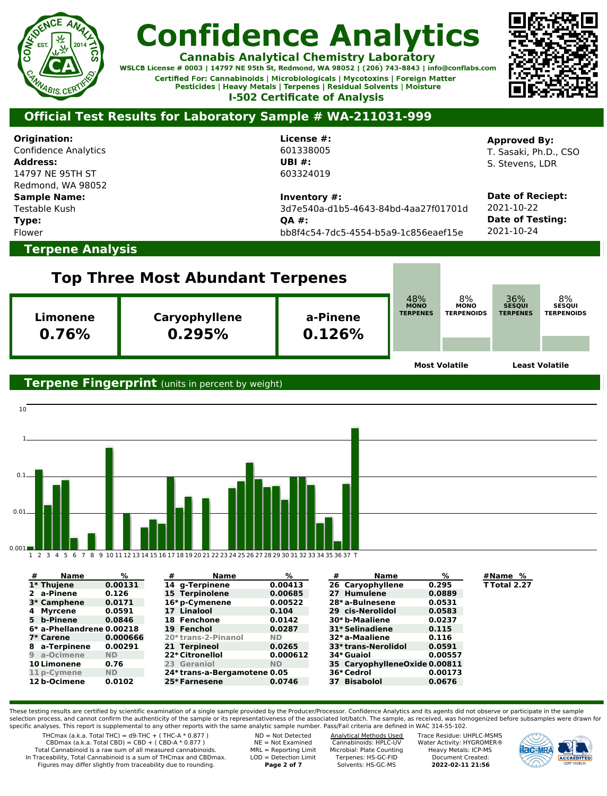

**Cannabis Analytical Chemistry Laboratory** 

WSLCB License # 0003 | 14797 NE 95th St, Redmond, WA 98052 | (206) 743-8843 | info@conflabs.com Certified For: Cannabinoids | Microbiologicals | Mycotoxins | Foreign Matter Pesticides | Heavy Metals | Terpenes | Residual Solvents | Moisture **I-502 Certificate of Analysis** 



### **Official Test Results for Laboratory Sample # WA-211031-999**

**Origination:** Confidence Analytics **Address:** 14797 NE 95TH ST Redmond, WA 98052 **Sample Name:** Testable Kush **Type:** Flower **License #:** 601338005 **UBI #:** 603324019 **Inventory #:** 3d7e540a-d1b5-4643-84bd-4aa27f01701d **QA #:** bb8f4c54-7dc5-4554-b5a9-1c856eaef15e **Approved By:** T. Sasaki, Ph.D., CSO S. Stevens, LDR **Date of Reciept:** 2021-10-22 **Date of Testing:** 2021-10-24 **Terpene Analysis Top Three Most Abundant Terpenes Limonene 0.76% Caryophyllene 0.295% a-Pinene 0.126% Most Volatile Least Volatile Terpene Fingerprint** (units in percent by weight) 10 1 0.1 0.01 0.001 1 2 3 4 5 6 7 8 9 10 11 12 13 14 15 16 17 18 19 20 21 22 23 24 25 26 27 28 29 30 31 32 33 34 35 36 37 T **# Name % # Name % # Name % #Name %** 48% **MONO TERPENES** 8%**MONO TERPENOIDS** 36% **SESQUI TERPENES** 8% **SESQUI TERPENOIDS**

| 1* Thuiene                | 0.00131   | 14 a-Terpinene              | 0.00413   | 26 Caryophyllene              | 0.295   | TTotal 2.27 |
|---------------------------|-----------|-----------------------------|-----------|-------------------------------|---------|-------------|
| 2 a-Pinene                | 0.126     | 15 Terpinolene              | 0.00685   | 27 Humulene                   | 0.0889  |             |
| 3* Camphene               | 0.0171    | 16* p-Cymenene              | 0.00522   | 28*a-Bulnesene                | 0.0531  |             |
| 4 Myrcene                 | 0.0591    | 17 Linalool                 | 0.104     | 29 cis-Nerolidol              | 0.0583  |             |
| 5 b-Pinene                | 0.0846    | 18 Fenchone                 | 0.0142    | 30*b-Maaliene                 | 0.0237  |             |
| 6* a-Phellandrene 0.00218 |           | 19 Fenchol                  | 0.0287    | 31* Selinadiene               | 0.115   |             |
| 7* Carene                 | 0.000666  | 20*trans-2-Pinanol          | <b>ND</b> | 32* a-Maaliene                | 0.116   |             |
| 8 a-Terpinene             | 0.00291   | 21 Terpineol                | 0.0265    | 33*trans-Nerolidol            | 0.0591  |             |
| 9 a-Ocimene               | <b>ND</b> | 22* Citronellol             | 0.000612  | 34* Guaiol                    | 0.00557 |             |
| <b>10 Limonene</b>        | 0.76      | 23 Geraniol                 | <b>ND</b> | 35 CarvophylleneOxide 0.00811 |         |             |
| 11 p-Cymene               | <b>ND</b> | 24*trans-a-Bergamotene 0.05 |           | 36* Cedrol                    | 0.00173 |             |
| 12 b-Ocimene              | 0.0102    | 25*Farnesene                | 0.0746    | 37 Bisabolol                  | 0.0676  |             |

These testing results are certified by scientific examination of a single sample provided by the Producer/Processor. Confidence Analytics and its agents did not observe or participate in the sample selection process, and cannot confirm the authenticity of the sample or its representativeness of the associated lot/batch. The sample, as received, was homogenized before subsamples were drawn for specific analyses. This report is supplemental to any other reports with the same analytic sample number. Pass/Fail criteria are defined in WAC 314-55-102.

THCmax (a.k.a. Total THC) =  $d9$ -THC + (THC-A  $*$  0.877)  $CBDmax$  (a.k.a. Total  $CBD$ ) =  $CBD$  + ( $CBD-A * 0.877$ ) Total Cannabinoid is a raw sum of all measured cannabinoids. In Traceability, Total Cannabinoid is a sum of THCmax and CBDmax.

Figures may differ slightly from traceability due to rounding.

ND = Not Detected NE = Not Examined MRL = Reporting Limit LOD = Detection Limit **Page 2 of 7**

Analytical Methods Used Cannabinoids: HPLC-UV Microbial: Plate Counting Terpenes: HS-GC-FID Solvents: HS-GC-MS

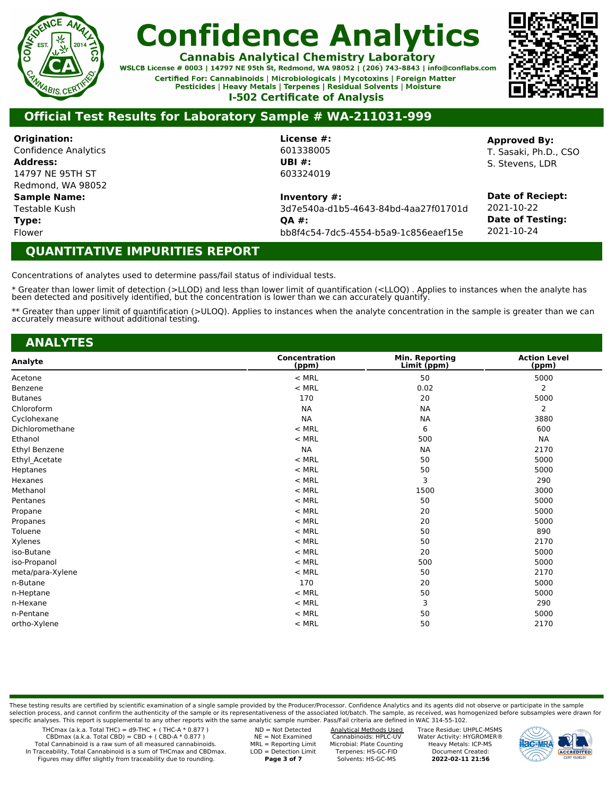

**Cannabis Analytical Chemistry Laboratory** 

WSLCB License # 0003 | 14797 NE 95th St, Redmond, WA 98052 | (206) 743-8843 | info@conflabs.com Certified For: Cannabinoids | Microbiologicals | Mycotoxins | Foreign Matter Pesticides | Heavy Metals | Terpenes | Residual Solvents | Moisture **I-502 Certificate of Analysis** 



### **Official Test Results for Laboratory Sample # WA-211031-999**

**Origination:** Confidence Analytics **Address:** 14797 NE 95TH ST Redmond, WA 98052

**Sample Name:**

Testable Kush **Type:**

Flower

**License #:** 601338005 **UBI #:** 603324019

**Inventory #:**

3d7e540a-d1b5-4643-84bd-4aa27f01701d **QA #:** bb8f4c54-7dc5-4554-b5a9-1c856eaef15e

**Approved By:**

T. Sasaki, Ph.D., CSO S. Stevens, LDR

**Date of Reciept:** 2021-10-22 **Date of Testing:** 2021-10-24

### **QUANTITATIVE IMPURITIES REPORT**

Concentrations of analytes used to determine pass/fail status of individual tests.

\* Greater than lower limit of detection (>LLOD) and less than lower limit of quantification (<LLOQ) . Applies to instances when the analyte has been detected and positively identified, but the concentration is lower than we can accurately quantify.

\*\* Greater than upper limit of quantification (>ULOQ). Applies to instances when the analyte concentration in the sample is greater than we can accurately measure without additional testing.

| <b>ANALYTES</b>  |                        |                               |                              |
|------------------|------------------------|-------------------------------|------------------------------|
| Analyte          | Concentration<br>(ppm) | Min. Reporting<br>Limit (ppm) | <b>Action Level</b><br>(ppm) |
| Acetone          | $<$ MRL                | 50                            | 5000                         |
| Benzene          | $<$ MRL                | 0.02                          | 2                            |
| <b>Butanes</b>   | 170                    | 20                            | 5000                         |
| Chloroform       | <b>NA</b>              | <b>NA</b>                     | 2                            |
| Cyclohexane      | <b>NA</b>              | <b>NA</b>                     | 3880                         |
| Dichloromethane  | $<$ MRL                | 6                             | 600                          |
| Ethanol          | $<$ MRL                | 500                           | <b>NA</b>                    |
| Ethyl Benzene    | <b>NA</b>              | <b>NA</b>                     | 2170                         |
| Ethyl Acetate    | $<$ MRL                | 50                            | 5000                         |
| Heptanes         | $<$ MRL                | 50                            | 5000                         |
| Hexanes          | $<$ MRL                | 3                             | 290                          |
| Methanol         | $<$ MRL                | 1500                          | 3000                         |
| Pentanes         | $<$ MRL                | 50                            | 5000                         |
| Propane          | $<$ MRL                | 20                            | 5000                         |
| Propanes         | $<$ MRL                | 20                            | 5000                         |
| Toluene          | $<$ MRL                | 50                            | 890                          |
| Xylenes          | $<$ MRL                | 50                            | 2170                         |
| iso-Butane       | $<$ MRL                | 20                            | 5000                         |
| iso-Propanol     | $<$ MRL                | 500                           | 5000                         |
| meta/para-Xylene | $<$ MRL                | 50                            | 2170                         |
| n-Butane         | 170                    | 20                            | 5000                         |
| n-Heptane        | $<$ MRL                | 50                            | 5000                         |
| n-Hexane         | $<$ MRL                | 3                             | 290                          |
| n-Pentane        | $<$ MRL                | 50                            | 5000                         |
| ortho-Xylene     | $<$ MRL                | 50                            | 2170                         |
|                  |                        |                               |                              |

These testing results are certified by scientific examination of a single sample provided by the Producer/Processor. Confidence Analytics and its agents did not observe or participate in the sample selection process, and cannot confirm the authenticity of the sample or its representativeness of the associated lot/batch. The sample, as received, was homogenized before subsamples were drawn for specific analyses. This report is supplemental to any other reports with the same analytic sample number. Pass/Fail criteria are defined in WAC 314-55-102.

THCmax (a.k.a. Total THC) =  $d9$ -THC + (THC-A  $*$  0.877)

 $CBDmax$  (a.k.a. Total  $CBD$ ) =  $CBD$  + ( $CBD-A * 0.877$ )

Total Cannabinoid is a raw sum of all measured cannabinoids. In Traceability, Total Cannabinoid is a sum of THCmax and CBDmax. Figures may differ slightly from traceability due to rounding.

ND = Not Detected NE = Not Examined MRL = Reporting Limit LOD = Detection Limit **Page 3 of 7**

Analytical Methods Used Cannabinoids: HPLC-UV Microbial: Plate Counting Terpenes: HS-GC-FID Solvents: HS-GC-MS

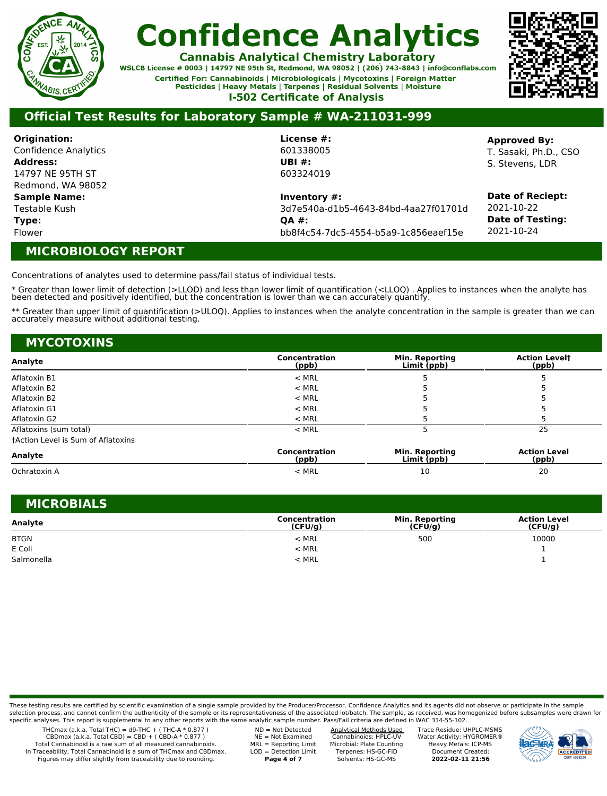

**Cannabis Analytical Chemistry Laboratory** 

WSLCB License # 0003 | 14797 NE 95th St, Redmond, WA 98052 | (206) 743-8843 | info@conflabs.com Certified For: Cannabinoids | Microbiologicals | Mycotoxins | Foreign Matter Pesticides | Heavy Metals | Terpenes | Residual Solvents | Moisture **I-502 Certificate of Analysis** 



### **Official Test Results for Laboratory Sample # WA-211031-999**

**Origination:** Confidence Analytics **Address:** 14797 NE 95TH ST Redmond, WA 98052 **Sample Name:** Testable Kush

**Type:**

Flower

#### **License #:** 601338005 **UBI #:** 603324019

**Inventory #:**

3d7e540a-d1b5-4643-84bd-4aa27f01701d **QA #:** bb8f4c54-7dc5-4554-b5a9-1c856eaef15e

**Approved By:** T. Sasaki, Ph.D., CSO S. Stevens, LDR

**Date of Reciept:** 2021-10-22 **Date of Testing:** 2021-10-24

### **MICROBIOLOGY REPORT**

Concentrations of analytes used to determine pass/fail status of individual tests.

\* Greater than lower limit of detection (>LLOD) and less than lower limit of quantification (<LLOQ) . Applies to instances when the analyte has been detected and positively identified, but the concentration is lower than we can accurately quantify.

\*\* Greater than upper limit of quantification (>ULOQ). Applies to instances when the analyte concentration in the sample is greater than we can accurately measure without additional testing.

| <b>MYCOTOXINS</b>                         |                        |                                      |                               |
|-------------------------------------------|------------------------|--------------------------------------|-------------------------------|
| Analyte                                   | Concentration<br>(ppb) | <b>Min. Reporting</b><br>Limit (ppb) | <b>Action Levelt</b><br>(ppb) |
| Aflatoxin B1                              | $<$ MRL                |                                      |                               |
| Aflatoxin B2                              | $<$ MRL                |                                      |                               |
| Aflatoxin B2                              | $<$ MRL                |                                      |                               |
| Aflatoxin G1                              | $<$ MRL                |                                      |                               |
| Aflatoxin G2                              | $<$ MRL                |                                      |                               |
| Aflatoxins (sum total)                    | $<$ MRL                |                                      | 25                            |
| <b>tAction Level is Sum of Aflatoxins</b> |                        |                                      |                               |
| Analyte                                   | Concentration<br>(ppb) | <b>Min. Reporting</b><br>Limit (ppb) | <b>Action Level</b><br>(ppb)  |

|                  | (DDD) | - -------<br>-------<br>-''''' | $\cdots$       |  |
|------------------|-------|--------------------------------|----------------|--|
| Chrau<br>◡◟<br>. | : MRL | ᅩ                              | $\sim$<br>$ -$ |  |

| <b>MICROBIALS</b> |                          |                                  |                                |
|-------------------|--------------------------|----------------------------------|--------------------------------|
| Analyte           | Concentration<br>(CFU/g) | <b>Min. Reporting</b><br>(CFU/q) | <b>Action Level</b><br>(CFU/q) |
| <b>BTGN</b>       | $<$ MRL                  | 500                              | 10000                          |
| E Coli            | $<$ MRL                  |                                  |                                |
| Salmonella        | $<$ MRL                  |                                  |                                |

These testing results are certified by scientific examination of a single sample provided by the Producer/Processor. Confidence Analytics and its agents did not observe or participate in the sample selection process, and cannot confirm the authenticity of the sample or its representativeness of the associated lot/batch. The sample, as received, was homogenized before subsamples were drawn for specific analyses. This report is supplemental to any other reports with the same analytic sample number. Pass/Fail criteria are defined in WAC 314-55-102.

THCmax (a.k.a. Total THC) =  $d9$ -THC + (THC-A  $*$  0.877)  $CBDmax$  (a.k.a. Total  $CBD$ ) =  $CBD$  + ( $CBD-A * 0.877$ )

Total Cannabinoid is a raw sum of all measured cannabinoids. In Traceability, Total Cannabinoid is a sum of THCmax and CBDmax. Figures may differ slightly from traceability due to rounding.

ND = Not Detected NE = Not Examined MRL = Reporting Limit LOD = Detection Limit **Page 4 of 7**

Analytical Methods Used Cannabinoids: HPLC-UV Microbial: Plate Counting Terpenes: HS-GC-FID Solvents: HS-GC-MS

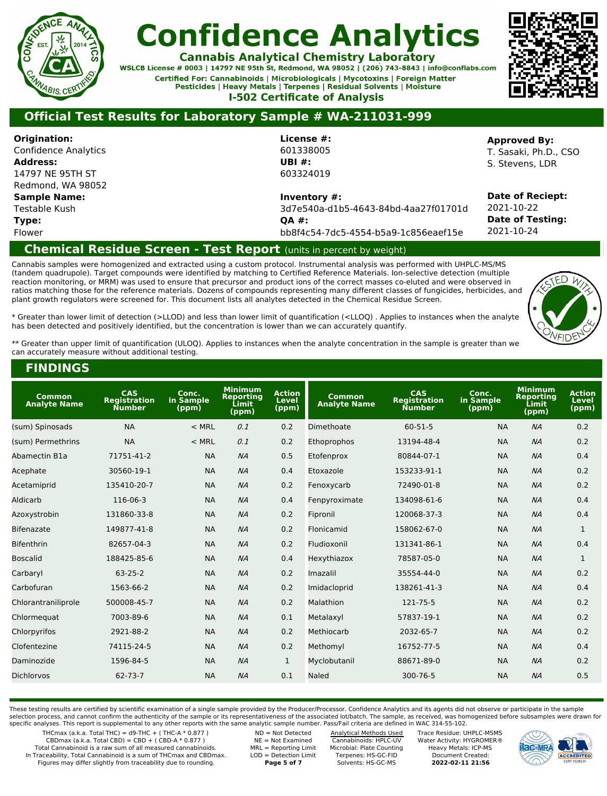

**Cannabis Analytical Chemistry Laboratory** 

WSLCB License # 0003 | 14797 NE 95th St, Redmond, WA 98052 | (206) 743-8843 | info@conflabs.com Certified For: Cannabinoids | Microbiologicals | Mycotoxins | Foreign Matter Pesticides | Heavy Metals | Terpenes | Residual Solvents | Moisture **I-502 Certificate of Analysis** 



### **Official Test Results for Laboratory Sample # WA-211031-999**

**Origination:** Confidence Analytics **Address:** 14797 NE 95TH ST Redmond, WA 98052 **Sample Name:** Testable Kush

**Type:**

Flower

**License #:** 601338005 **UBI #:** 603324019

**Inventory #:**

3d7e540a-d1b5-4643-84bd-4aa27f01701d **QA #:** bb8f4c54-7dc5-4554-b5a9-1c856eaef15e

#### **Approved By:**

T. Sasaki, Ph.D., CSO S. Stevens, LDR

**Date of Reciept:** 2021-10-22 **Date of Testing:** 2021-10-24

### **Chemical Residue Screen - Test Report** (units in percent by weight)

Cannabis samples were homogenized and extracted using a custom protocol. Instrumental analysis was performed with UHPLC-MS/MS (tandem quadrupole). Target compounds were identified by matching to Certified Reference Materials. Ion-selective detection (multiple reaction monitoring, or MRM) was used to ensure that precursor and product ions of the correct masses co-eluted and were observed in ratios matching those for the reference materials. Dozens of compounds representing many different classes of fungicides, herbicides, and plant growth regulators were screened for. This document lists all analytes detected in the Chemical Residue Screen.



\* Greater than lower limit of detection (>LLOD) and less than lower limit of quantification (<LLOQ) . Applies to instances when the analyte has been detected and positively identified, but the concentration is lower than we can accurately quantify.

\*\* Greater than upper limit of quantification (ULOQ). Applies to instances when the analyte concentration in the sample is greater than we can accurately measure without additional testing.

### **FINDINGS**

| Common<br><b>Analyte Name</b> | CAS<br><b>Registration</b><br><b>Number</b> | Conc.<br>in Sample<br>(ppm) | <b>Minimum</b><br><b>Reporting</b><br>Limit<br>(ppm) | <b>Action</b><br><b>Level</b><br>(ppm) | Common<br><b>Analyte Name</b> | CAS<br><b>Registration</b><br><b>Number</b> | Conc.<br>in Sample<br>(ppm) | <b>Minimum</b><br><b>Reporting</b><br>Ĺimit<br>(ppm) | <b>Action</b><br>Level<br>(ppm) |
|-------------------------------|---------------------------------------------|-----------------------------|------------------------------------------------------|----------------------------------------|-------------------------------|---------------------------------------------|-----------------------------|------------------------------------------------------|---------------------------------|
| (sum) Spinosads               | <b>NA</b>                                   | $<$ MRL                     | 0.1                                                  | 0.2                                    | Dimethoate                    | $60 - 51 - 5$                               | <b>NA</b>                   | NA                                                   | 0.2                             |
| (sum) Permethrins             | <b>NA</b>                                   | $<$ MRL                     | 0.1                                                  | 0.2                                    | Ethoprophos                   | 13194-48-4                                  | <b>NA</b>                   | NA                                                   | 0.2                             |
| Abamectin B1a                 | 71751-41-2                                  | <b>NA</b>                   | NA                                                   | 0.5                                    | Etofenprox                    | 80844-07-1                                  | <b>NA</b>                   | NA                                                   | 0.4                             |
| Acephate                      | 30560-19-1                                  | <b>NA</b>                   | NA                                                   | 0.4                                    | Etoxazole                     | 153233-91-1                                 | <b>NA</b>                   | NA                                                   | 0.2                             |
| Acetamiprid                   | 135410-20-7                                 | <b>NA</b>                   | NA                                                   | 0.2                                    | Fenoxycarb                    | 72490-01-8                                  | <b>NA</b>                   | NA                                                   | 0.2                             |
| Aldicarb                      | 116-06-3                                    | <b>NA</b>                   | NA                                                   | 0.4                                    | Fenpyroximate                 | 134098-61-6                                 | <b>NA</b>                   | NA                                                   | 0.4                             |
| Azoxystrobin                  | 131860-33-8                                 | <b>NA</b>                   | NA                                                   | 0.2                                    | Fipronil                      | 120068-37-3                                 | <b>NA</b>                   | NA                                                   | 0.4                             |
| <b>Bifenazate</b>             | 149877-41-8                                 | <b>NA</b>                   | NA                                                   | 0.2                                    | Flonicamid                    | 158062-67-0                                 | <b>NA</b>                   | NA                                                   | $\mathbf{1}$                    |
| <b>Bifenthrin</b>             | 82657-04-3                                  | <b>NA</b>                   | NA                                                   | 0.2                                    | Fludioxonil                   | 131341-86-1                                 | <b>NA</b>                   | NA                                                   | 0.4                             |
| <b>Boscalid</b>               | 188425-85-6                                 | <b>NA</b>                   | NA                                                   | 0.4                                    | Hexythiazox                   | 78587-05-0                                  | <b>NA</b>                   | NA                                                   | 1                               |
| Carbaryl                      | $63 - 25 - 2$                               | <b>NA</b>                   | NA                                                   | 0.2                                    | Imazalil                      | 35554-44-0                                  | <b>NA</b>                   | NA                                                   | 0.2                             |
| Carbofuran                    | 1563-66-2                                   | <b>NA</b>                   | NA                                                   | 0.2                                    | Imidacloprid                  | 138261-41-3                                 | <b>NA</b>                   | NA                                                   | 0.4                             |
| Chlorantraniliprole           | 500008-45-7                                 | <b>NA</b>                   | NA                                                   | 0.2                                    | Malathion                     | 121-75-5                                    | <b>NA</b>                   | NA                                                   | 0.2                             |
| Chlormequat                   | 7003-89-6                                   | <b>NA</b>                   | NA                                                   | 0.1                                    | Metalaxyl                     | 57837-19-1                                  | <b>NA</b>                   | NA                                                   | 0.2                             |
| Chlorpyrifos                  | 2921-88-2                                   | <b>NA</b>                   | NA                                                   | 0.2                                    | Methiocarb                    | 2032-65-7                                   | <b>NA</b>                   | NA                                                   | 0.2                             |
| Clofentezine                  | 74115-24-5                                  | <b>NA</b>                   | NA                                                   | 0.2                                    | Methomyl                      | 16752-77-5                                  | <b>NA</b>                   | NA                                                   | 0.4                             |
| Daminozide                    | 1596-84-5                                   | <b>NA</b>                   | NA                                                   | $\mathbf{1}$                           | Myclobutanil                  | 88671-89-0                                  | <b>NA</b>                   | NA                                                   | 0.2                             |
| <b>Dichlorvos</b>             | $62 - 73 - 7$                               | <b>NA</b>                   | NA                                                   | 0.1                                    | Naled                         | 300-76-5                                    | <b>NA</b>                   | NA                                                   | 0.5                             |

These testing results are certified by scientific examination of a single sample provided by the Producer/Processor. Confidence Analytics and its agents did not observe or participate in the sample selection process, and cannot confirm the authenticity of the sample or its representativeness of the associated lot/batch. The sample, as received, was homogenized before subsamples were drawn for

specific analyses. This report is supplemental to any other reports with the same analytic sample number. Pass/Fail criteria are defined in WAC 314-55-102.

THCmax (a.k.a. Total THC) =  $d9$ -THC + (THC-A  $*$  0.877)

 $CBDmax$  (a.k.a. Total CBD) = CBD + (CBD-A  $*$  0.877)

Total Cannabinoid is a raw sum of all measured cannabinoids. In Traceability, Total Cannabinoid is a sum of THCmax and CBDmax. Figures may differ slightly from traceability due to rounding.

ND = Not Detected NE = Not Examined MRL = Reporting Limit LOD = Detection Limit **Page 5 of 7**

Analytical Methods Used Cannabinoids: HPLC-UV Microbial: Plate Counting Terpenes: HS-GC-FID Solvents: HS-GC-MS

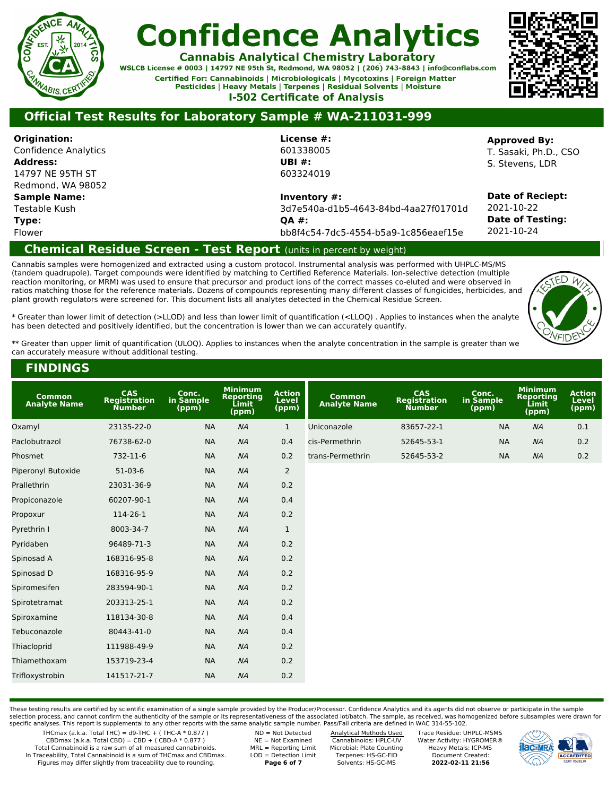

**Cannabis Analytical Chemistry Laboratory** 

WSLCB License # 0003 | 14797 NE 95th St, Redmond, WA 98052 | (206) 743-8843 | info@conflabs.com Certified For: Cannabinoids | Microbiologicals | Mycotoxins | Foreign Matter Pesticides | Heavy Metals | Terpenes | Residual Solvents | Moisture **I-502 Certificate of Analysis** 



### **Official Test Results for Laboratory Sample # WA-211031-999**

**Origination:** Confidence Analytics **Address:** 14797 NE 95TH ST Redmond, WA 98052 **Sample Name:** Testable Kush **Type:**

Flower

601338005 **UBI #:** 603324019

**License #:**

**Inventory #:**

3d7e540a-d1b5-4643-84bd-4aa27f01701d **QA #:** bb8f4c54-7dc5-4554-b5a9-1c856eaef15e

**Approved By:**

T. Sasaki, Ph.D., CSO S. Stevens, LDR

**Date of Reciept:** 2021-10-22 **Date of Testing:** 2021-10-24

### **Chemical Residue Screen - Test Report** (units in percent by weight)

Cannabis samples were homogenized and extracted using a custom protocol. Instrumental analysis was performed with UHPLC-MS/MS (tandem quadrupole). Target compounds were identified by matching to Certified Reference Materials. Ion-selective detection (multiple reaction monitoring, or MRM) was used to ensure that precursor and product ions of the correct masses co-eluted and were observed in ratios matching those for the reference materials. Dozens of compounds representing many different classes of fungicides, herbicides, and plant growth regulators were screened for. This document lists all analytes detected in the Chemical Residue Screen.



\* Greater than lower limit of detection (>LLOD) and less than lower limit of quantification (<LLOQ) . Applies to instances when the analyte has been detected and positively identified, but the concentration is lower than we can accurately quantify.

\*\* Greater than upper limit of quantification (ULOQ). Applies to instances when the analyte concentration in the sample is greater than we can accurately measure without additional testing.

#### **FINDINGS**

| <b>Common</b><br><b>Analyte Name</b> | CAS<br><b>Registration</b><br><b>Number</b> | Conc.<br>in Sample<br>(ppm) | <b>Minimum</b><br>Reporting<br>Limit<br>(ppm) | <b>Action</b><br>Level<br>(ppm) | <b>Common</b><br><b>Analyte Name</b> | CAS<br><b>Registration</b><br><b>Number</b> | Conc.<br>in Sample<br>(ppm) | <b>Minimum</b><br><b>Reporting</b><br>Limit<br>(ppm) | <b>Action</b><br>Level<br>(ppm) |
|--------------------------------------|---------------------------------------------|-----------------------------|-----------------------------------------------|---------------------------------|--------------------------------------|---------------------------------------------|-----------------------------|------------------------------------------------------|---------------------------------|
| Oxamyl                               | 23135-22-0                                  | <b>NA</b>                   | NA                                            | $\mathbf{1}$                    | Uniconazole                          | 83657-22-1                                  | <b>NA</b>                   | NA                                                   | 0.1                             |
| Paclobutrazol                        | 76738-62-0                                  | <b>NA</b>                   | NA                                            | 0.4                             | cis-Permethrin                       | 52645-53-1                                  | <b>NA</b>                   | NA                                                   | 0.2                             |
| Phosmet                              | 732-11-6                                    | <b>NA</b>                   | NA                                            | 0.2                             | trans-Permethrin                     | 52645-53-2                                  | <b>NA</b>                   | NA                                                   | 0.2                             |
| Piperonyl Butoxide                   | 51-03-6                                     | <b>NA</b>                   | NA                                            | $\overline{2}$                  |                                      |                                             |                             |                                                      |                                 |
| Prallethrin                          | 23031-36-9                                  | <b>NA</b>                   | NA                                            | 0.2                             |                                      |                                             |                             |                                                      |                                 |
| Propiconazole                        | 60207-90-1                                  | <b>NA</b>                   | NA                                            | 0.4                             |                                      |                                             |                             |                                                      |                                 |
| Propoxur                             | 114-26-1                                    | <b>NA</b>                   | NA                                            | 0.2                             |                                      |                                             |                             |                                                      |                                 |
| Pyrethrin I                          | 8003-34-7                                   | <b>NA</b>                   | NA                                            | $\mathbf{1}$                    |                                      |                                             |                             |                                                      |                                 |
| Pyridaben                            | 96489-71-3                                  | <b>NA</b>                   | NA                                            | 0.2                             |                                      |                                             |                             |                                                      |                                 |
| Spinosad A                           | 168316-95-8                                 | <b>NA</b>                   | NA                                            | 0.2                             |                                      |                                             |                             |                                                      |                                 |
| Spinosad D                           | 168316-95-9                                 | <b>NA</b>                   | NA                                            | 0.2                             |                                      |                                             |                             |                                                      |                                 |
| Spiromesifen                         | 283594-90-1                                 | <b>NA</b>                   | NA                                            | 0.2                             |                                      |                                             |                             |                                                      |                                 |
| Spirotetramat                        | 203313-25-1                                 | <b>NA</b>                   | NA                                            | 0.2                             |                                      |                                             |                             |                                                      |                                 |
| Spiroxamine                          | 118134-30-8                                 | <b>NA</b>                   | NA                                            | 0.4                             |                                      |                                             |                             |                                                      |                                 |
| Tebuconazole                         | 80443-41-0                                  | <b>NA</b>                   | NA                                            | 0.4                             |                                      |                                             |                             |                                                      |                                 |
| Thiacloprid                          | 111988-49-9                                 | <b>NA</b>                   | NA                                            | 0.2                             |                                      |                                             |                             |                                                      |                                 |
| Thiamethoxam                         | 153719-23-4                                 | <b>NA</b>                   | NA                                            | 0.2                             |                                      |                                             |                             |                                                      |                                 |
| Trifloxystrobin                      | 141517-21-7                                 | <b>NA</b>                   | NA                                            | 0.2                             |                                      |                                             |                             |                                                      |                                 |

These testing results are certified by scientific examination of a single sample provided by the Producer/Processor. Confidence Analytics and its agents did not observe or participate in the sample selection process, and cannot confirm the authenticity of the sample or its representativeness of the associated lot/batch. The sample, as received, was homogenized before subsamples were drawn for specific analyses. This report is supplemental to any other reports with the same analytic sample number. Pass/Fail criteria are defined in WAC 314-55-102.

THCmax (a.k.a. Total THC) =  $d9$ -THC + (THC-A  $*$  0.877)

 $CBDmax$  (a.k.a. Total CBD) = CBD + (CBD-A  $*$  0.877)

Total Cannabinoid is a raw sum of all measured cannabinoids. In Traceability, Total Cannabinoid is a sum of THCmax and CBDmax. Figures may differ slightly from traceability due to rounding.

NE = Not Examined MRL = Reporting Limit LOD = Detection Limit **Page 6 of 7**

ND = Not Detected

Analytical Methods Used Cannabinoids: HPLC-UV Microbial: Plate Counting Terpenes: HS-GC-FID Solvents: HS-GC-MS